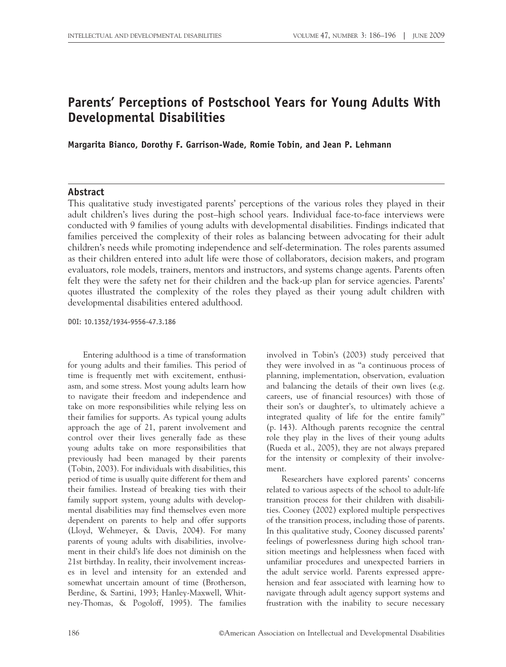# Parents' Perceptions of Postschool Years for Young Adults With Developmental Disabilities

Margarita Bianco, Dorothy F. Garrison-Wade, Romie Tobin, and Jean P. Lehmann

#### Abstract

This qualitative study investigated parents' perceptions of the various roles they played in their adult children's lives during the post–high school years. Individual face-to-face interviews were conducted with 9 families of young adults with developmental disabilities. Findings indicated that families perceived the complexity of their roles as balancing between advocating for their adult children's needs while promoting independence and self-determination. The roles parents assumed as their children entered into adult life were those of collaborators, decision makers, and program evaluators, role models, trainers, mentors and instructors, and systems change agents. Parents often felt they were the safety net for their children and the back-up plan for service agencies. Parents' quotes illustrated the complexity of the roles they played as their young adult children with developmental disabilities entered adulthood.

DOI: 10.1352/1934-9556-47.3.186

Entering adulthood is a time of transformation for young adults and their families. This period of time is frequently met with excitement, enthusiasm, and some stress. Most young adults learn how to navigate their freedom and independence and take on more responsibilities while relying less on their families for supports. As typical young adults approach the age of 21, parent involvement and control over their lives generally fade as these young adults take on more responsibilities that previously had been managed by their parents (Tobin, 2003). For individuals with disabilities, this period of time is usually quite different for them and their families. Instead of breaking ties with their family support system, young adults with developmental disabilities may find themselves even more dependent on parents to help and offer supports (Lloyd, Wehmeyer, & Davis, 2004). For many parents of young adults with disabilities, involvement in their child's life does not diminish on the 21st birthday. In reality, their involvement increases in level and intensity for an extended and somewhat uncertain amount of time (Brotherson, Berdine, & Sartini, 1993; Hanley-Maxwell, Whitney-Thomas, & Pogoloff, 1995). The families involved in Tobin's (2003) study perceived that they were involved in as ''a continuous process of planning, implementation, observation, evaluation and balancing the details of their own lives (e.g. careers, use of financial resources) with those of their son's or daughter's, to ultimately achieve a integrated quality of life for the entire family'' (p. 143). Although parents recognize the central role they play in the lives of their young adults (Rueda et al., 2005), they are not always prepared for the intensity or complexity of their involvement.

Researchers have explored parents' concerns related to various aspects of the school to adult-life transition process for their children with disabilities. Cooney (2002) explored multiple perspectives of the transition process, including those of parents. In this qualitative study, Cooney discussed parents' feelings of powerlessness during high school transition meetings and helplessness when faced with unfamiliar procedures and unexpected barriers in the adult service world. Parents expressed apprehension and fear associated with learning how to navigate through adult agency support systems and frustration with the inability to secure necessary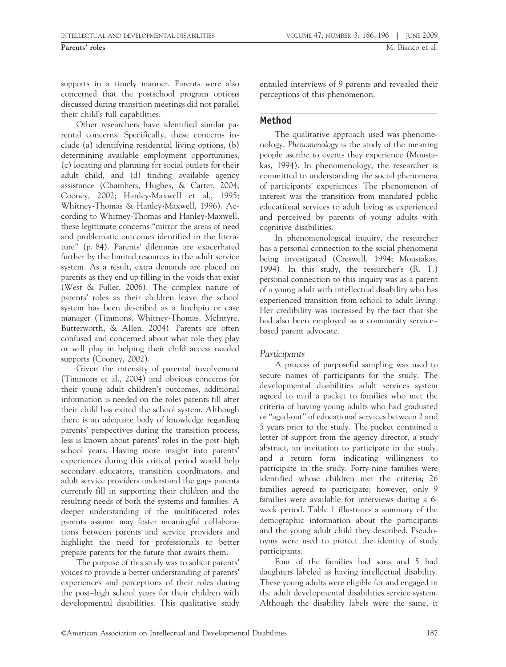supports in a timely manner. Parents were also concerned that the postschool program options discussed during transition meetings did not parallel their child's full capabilities.

Other researchers have identified similar parental concerns. Specifically, these concerns include (a) identifying residential living options, (b) determining available employment opportunities, (c) locating and planning for social outlets for their adult child, and (d) finding available agency assistance (Chambers, Hughes, & Carter, 2004; Cooney, 2002; Hanley-Maxwell et al., 1995; Whitney-Thomas & Hanley-Maxwell, 1996). According to Whitney-Thomas and Hanley-Maxwell, these legitimate concerns ''mirror the areas of need and problematic outcomes identified in the literature'' (p. 84). Parents' dilemmas are exacerbated further by the limited resources in the adult service system. As a result, extra demands are placed on parents as they end up filling in the voids that exist (West & Fuller, 2006). The complex nature of parents' roles as their children leave the school system has been described as a linchpin or case manager (Timmons, Whitney-Thomas, McIntyre, Butterworth, & Allen, 2004). Parents are often confused and concerned about what role they play or will play in helping their child access needed supports (Cooney, 2002).

Given the intensity of parental involvement (Timmons et al., 2004) and obvious concerns for their young adult children's outcomes, additional information is needed on the roles parents fill after their child has exited the school system. Although there is an adequate body of knowledge regarding parents' perspectives during the transition process, less is known about parents' roles in the post–high school years. Having more insight into parents' experiences during this critical period would help secondary educators, transition coordinators, and adult service providers understand the gaps parents currently fill in supporting their children and the resulting needs of both the systems and families. A deeper understanding of the multifaceted roles parents assume may foster meaningful collaborations between parents and service providers and highlight the need for professionals to better prepare parents for the future that awaits them.

The purpose of this study was to solicit parents' voices to provide a better understanding of parents' experiences and perceptions of their roles during the post–high school years for their children with developmental disabilities. This qualitative study

entailed interviews of 9 parents and revealed their perceptions of this phenomenon.

# Method

The qualitative approach used was phenomenology. Phenomenology is the study of the meaning people ascribe to events they experience (Moustakas, 1994). In phenomenology, the researcher is committed to understanding the social phenomena of participants' experiences. The phenomenon of interest was the transition from mandated public educational services to adult living as experienced and perceived by parents of young adults with cognitive disabilities.

In phenomenological inquiry, the researcher has a personal connection to the social phenomena being investigated (Creswell, 1994; Moustakas, 1994). In this study, the researcher's (R. T.) personal connection to this inquiry was as a parent of a young adult with intellectual disability who has experienced transition from school to adult living. Her credibility was increased by the fact that she had also been employed as a community service– based parent advocate.

# Participants

A process of purposeful sampling was used to secure names of participants for the study. The developmental disabilities adult services system agreed to mail a packet to families who met the criteria of having young adults who had graduated or ''aged-out'' of educational services between 2 and 5 years prior to the study. The packet contained a letter of support from the agency director, a study abstract, an invitation to participate in the study, and a return form indicating willingness to participate in the study. Forty-nine families were identified whose children met the criteria; 26 families agreed to participate; however, only 9 families were available for interviews during a 6 week period. Table 1 illustrates a summary of the demographic information about the participants and the young adult child they described. Pseudonyms were used to protect the identity of study participants.

Four of the families had sons and 5 had daughters labeled as having intellectual disability. These young adults were eligible for and engaged in the adult developmental disabilities service system. Although the disability labels were the same, it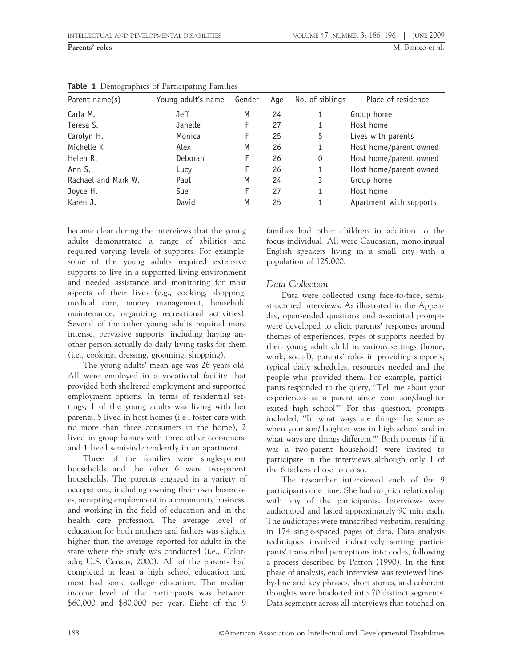| Parent name(s)      | Young adult's name | Gender | Age | No. of siblings | Place of residence      |
|---------------------|--------------------|--------|-----|-----------------|-------------------------|
| Carla M.            | Jeff               | M      | 24  | 1               | Group home              |
| Teresa S.           | Janelle            | F      | 27  | 1               | Host home               |
| Carolyn H.          | Monica             | F      | 25  | 5               | Lives with parents      |
| Michelle K          | Alex               | M      | 26  | 1               | Host home/parent owned  |
| Helen R.            | Deborah            | F      | 26  | 0               | Host home/parent owned  |
| Ann S.              | Lucy               | F      | 26  | 1               | Host home/parent owned  |
| Rachael and Mark W. | Paul               | M      | 24  | 3               | Group home              |
| Joyce H.            | Sue                | F      | 27  | 1               | Host home               |
| Karen J.            | David              | M      | 25  | 1               | Apartment with supports |

Table 1 Demographics of Participating Families

became clear during the interviews that the young adults demonstrated a range of abilities and required varying levels of supports. For example, some of the young adults required extensive supports to live in a supported living environment and needed assistance and monitoring for most aspects of their lives (e.g., cooking, shopping, medical care, money management, household maintenance, organizing recreational activities). Several of the other young adults required more intense, pervasive supports, including having another person actually do daily living tasks for them (i.e., cooking, dressing, grooming, shopping).

The young adults' mean age was 26 years old. All were employed in a vocational facility that provided both sheltered employment and supported employment options. In terms of residential settings, 1 of the young adults was living with her parents, 5 lived in host homes (i.e., foster care with no more than three consumers in the home), 2 lived in group homes with three other consumers, and 1 lived semi-independently in an apartment.

Three of the families were single-parent households and the other 6 were two-parent households. The parents engaged in a variety of occupations, including owning their own businesses, accepting employment in a community business, and working in the field of education and in the health care profession. The average level of education for both mothers and fathers was slightly higher than the average reported for adults in the state where the study was conducted (i.e., Colorado; U.S. Census, 2000). All of the parents had completed at least a high school education and most had some college education. The median income level of the participants was between \$60,000 and \$80,000 per year. Eight of the 9

families had other children in addition to the focus individual. All were Caucasian, monolingual English speakers living in a small city with a population of 125,000.

# Data Collection

Data were collected using face-to-face, semistructured interviews. As illustrated in the Appendix, open-ended questions and associated prompts were developed to elicit parents' responses around themes of experiences, types of supports needed by their young adult child in various settings (home, work, social), parents' roles in providing supports, typical daily schedules, resources needed and the people who provided them. For example, participants responded to the query, ''Tell me about your experiences as a parent since your son/daughter exited high school?'' For this question, prompts included, ''In what ways are things the same as when your son/daughter was in high school and in what ways are things different?'' Both parents (if it was a two-parent household) were invited to participate in the interviews although only 1 of the 6 fathers chose to do so.

The researcher interviewed each of the 9 participants one time. She had no prior relationship with any of the participants. Interviews were audiotaped and lasted approximately 90 min each. The audiotapes were transcribed verbatim, resulting in 174 single-spaced pages of data. Data analysis techniques involved inductively sorting participants' transcribed perceptions into codes, following a process described by Patton (1990). In the first phase of analysis, each interview was reviewed lineby-line and key phrases, short stories, and coherent thoughts were bracketed into 70 distinct segments. Data segments across all interviews that touched on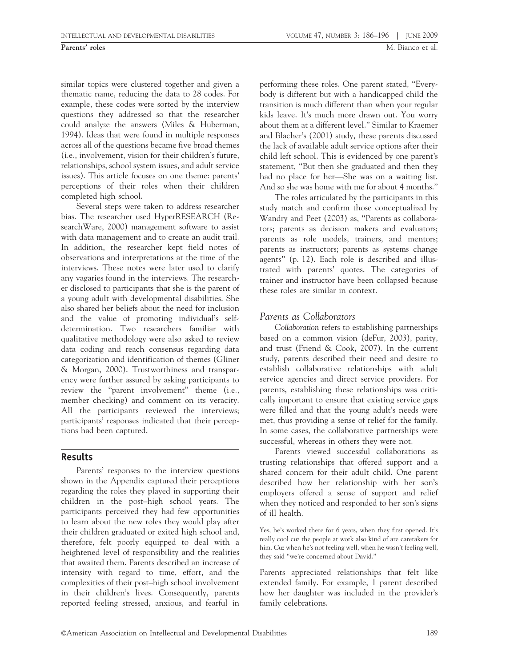Parents' roles M. Bianco et al.

similar topics were clustered together and given a thematic name, reducing the data to 28 codes. For example, these codes were sorted by the interview questions they addressed so that the researcher could analyze the answers (Miles & Huberman, 1994). Ideas that were found in multiple responses across all of the questions became five broad themes (i.e., involvement, vision for their children's future, relationships, school system issues, and adult service issues). This article focuses on one theme: parents' perceptions of their roles when their children completed high school.

Several steps were taken to address researcher bias. The researcher used HyperRESEARCH (ResearchWare, 2000) management software to assist with data management and to create an audit trail. In addition, the researcher kept field notes of observations and interpretations at the time of the interviews. These notes were later used to clarify any vagaries found in the interviews. The researcher disclosed to participants that she is the parent of a young adult with developmental disabilities. She also shared her beliefs about the need for inclusion and the value of promoting individual's selfdetermination. Two researchers familiar with qualitative methodology were also asked to review data coding and reach consensus regarding data categorization and identification of themes (Gliner & Morgan, 2000). Trustworthiness and transparency were further assured by asking participants to review the ''parent involvement'' theme (i.e., member checking) and comment on its veracity. All the participants reviewed the interviews; participants' responses indicated that their perceptions had been captured.

# Results

Parents' responses to the interview questions shown in the Appendix captured their perceptions regarding the roles they played in supporting their children in the post–high school years. The participants perceived they had few opportunities to learn about the new roles they would play after their children graduated or exited high school and, therefore, felt poorly equipped to deal with a heightened level of responsibility and the realities that awaited them. Parents described an increase of intensity with regard to time, effort, and the complexities of their post–high school involvement in their children's lives. Consequently, parents reported feeling stressed, anxious, and fearful in performing these roles. One parent stated, ''Everybody is different but with a handicapped child the transition is much different than when your regular kids leave. It's much more drawn out. You worry about them at a different level.'' Similar to Kraemer and Blacher's (2001) study, these parents discussed the lack of available adult service options after their child left school. This is evidenced by one parent's statement, ''But then she graduated and then they had no place for her—She was on a waiting list. And so she was home with me for about 4 months.''

The roles articulated by the participants in this study match and confirm those conceptualized by Wandry and Peet (2003) as, ''Parents as collaborators; parents as decision makers and evaluators; parents as role models, trainers, and mentors; parents as instructors; parents as systems change agents'' (p. 12). Each role is described and illustrated with parents' quotes. The categories of trainer and instructor have been collapsed because these roles are similar in context.

# Parents as Collaborators

Collaboration refers to establishing partnerships based on a common vision (deFur, 2003), parity, and trust (Friend & Cook, 2007). In the current study, parents described their need and desire to establish collaborative relationships with adult service agencies and direct service providers. For parents, establishing these relationships was critically important to ensure that existing service gaps were filled and that the young adult's needs were met, thus providing a sense of relief for the family. In some cases, the collaborative partnerships were successful, whereas in others they were not.

Parents viewed successful collaborations as trusting relationships that offered support and a shared concern for their adult child. One parent described how her relationship with her son's employers offered a sense of support and relief when they noticed and responded to her son's signs of ill health.

Yes, he's worked there for 6 years, when they first opened. It's really cool cuz the people at work also kind of are caretakers for him. Cuz when he's not feeling well, when he wasn't feeling well, they said ''we're concerned about David.''

Parents appreciated relationships that felt like extended family. For example, 1 parent described how her daughter was included in the provider's family celebrations.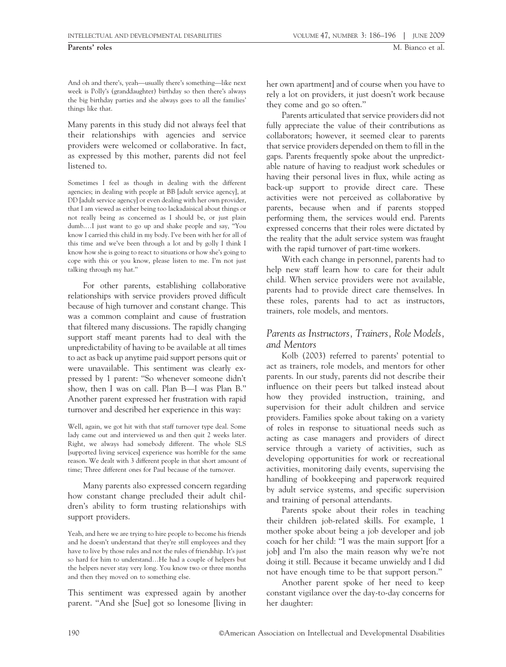And oh and there's, yeah—usually there's something—like next week is Polly's (granddaughter) birthday so then there's always the big birthday parties and she always goes to all the families' things like that.

Many parents in this study did not always feel that their relationships with agencies and service providers were welcomed or collaborative. In fact, as expressed by this mother, parents did not feel listened to.

Sometimes I feel as though in dealing with the different agencies; in dealing with people at BB [adult service agency], at DD [adult service agency] or even dealing with her own provider, that I am viewed as either being too lackadaisical about things or not really being as concerned as I should be, or just plain dumb.…I just want to go up and shake people and say, ''You know I carried this child in my body. I've been with her for all of this time and we've been through a lot and by golly I think I know how she is going to react to situations or how she's going to cope with this or you know, please listen to me. I'm not just talking through my hat.''

For other parents, establishing collaborative relationships with service providers proved difficult because of high turnover and constant change. This was a common complaint and cause of frustration that filtered many discussions. The rapidly changing support staff meant parents had to deal with the unpredictability of having to be available at all times to act as back up anytime paid support persons quit or were unavailable. This sentiment was clearly expressed by 1 parent: ''So whenever someone didn't show, then I was on call. Plan B—I was Plan B.'' Another parent expressed her frustration with rapid turnover and described her experience in this way:

Well, again, we got hit with that staff turnover type deal. Some lady came out and interviewed us and then quit 2 weeks later. Right, we always had somebody different. The whole SLS [supported living services] experience was horrible for the same reason. We dealt with 3 different people in that short amount of time; Three different ones for Paul because of the turnover.

Many parents also expressed concern regarding how constant change precluded their adult children's ability to form trusting relationships with support providers.

Yeah, and here we are trying to hire people to become his friends and he doesn't understand that they're still employees and they have to live by those rules and not the rules of friendship. It's just so hard for him to understand…He had a couple of helpers but the helpers never stay very long. You know two or three months and then they moved on to something else.

This sentiment was expressed again by another parent. ''And she [Sue] got so lonesome [living in her own apartment] and of course when you have to rely a lot on providers, it just doesn't work because they come and go so often.''

Parents articulated that service providers did not fully appreciate the value of their contributions as collaborators; however, it seemed clear to parents that service providers depended on them to fill in the gaps. Parents frequently spoke about the unpredictable nature of having to readjust work schedules or having their personal lives in flux, while acting as back-up support to provide direct care. These activities were not perceived as collaborative by parents, because when and if parents stopped performing them, the services would end. Parents expressed concerns that their roles were dictated by the reality that the adult service system was fraught with the rapid turnover of part-time workers.

With each change in personnel, parents had to help new staff learn how to care for their adult child. When service providers were not available, parents had to provide direct care themselves. In these roles, parents had to act as instructors, trainers, role models, and mentors.

# Parents as Instructors, Trainers, Role Models, and Mentors

Kolb (2003) referred to parents' potential to act as trainers, role models, and mentors for other parents. In our study, parents did not describe their influence on their peers but talked instead about how they provided instruction, training, and supervision for their adult children and service providers. Families spoke about taking on a variety of roles in response to situational needs such as acting as case managers and providers of direct service through a variety of activities, such as developing opportunities for work or recreational activities, monitoring daily events, supervising the handling of bookkeeping and paperwork required by adult service systems, and specific supervision and training of personal attendants.

Parents spoke about their roles in teaching their children job-related skills. For example, 1 mother spoke about being a job developer and job coach for her child: ''I was the main support [for a job] and I'm also the main reason why we're not doing it still. Because it became unwieldy and I did not have enough time to be that support person.''

Another parent spoke of her need to keep constant vigilance over the day-to-day concerns for her daughter: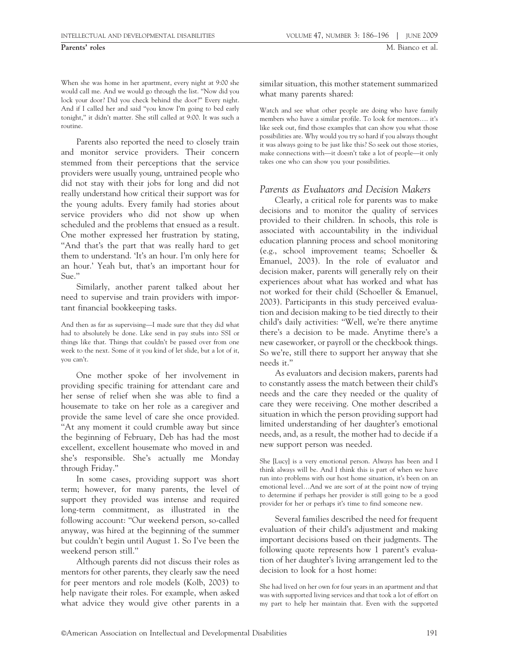When she was home in her apartment, every night at 9:00 she would call me. And we would go through the list. ''Now did you lock your door? Did you check behind the door?'' Every night. And if I called her and said ''you know I'm going to bed early tonight,'' it didn't matter. She still called at 9:00. It was such a routine.

Parents also reported the need to closely train and monitor service providers. Their concern stemmed from their perceptions that the service providers were usually young, untrained people who did not stay with their jobs for long and did not really understand how critical their support was for the young adults. Every family had stories about service providers who did not show up when scheduled and the problems that ensued as a result. One mother expressed her frustration by stating, ''And that's the part that was really hard to get them to understand. 'It's an hour. I'm only here for an hour.' Yeah but, that's an important hour for Sue.''

Similarly, another parent talked about her need to supervise and train providers with important financial bookkeeping tasks.

And then as far as supervising—I made sure that they did what had to absolutely be done. Like send in pay stubs into SSI or things like that. Things that couldn't be passed over from one week to the next. Some of it you kind of let slide, but a lot of it, you can't.

One mother spoke of her involvement in providing specific training for attendant care and her sense of relief when she was able to find a housemate to take on her role as a caregiver and provide the same level of care she once provided. ''At any moment it could crumble away but since the beginning of February, Deb has had the most excellent, excellent housemate who moved in and she's responsible. She's actually me Monday through Friday.''

In some cases, providing support was short term; however, for many parents, the level of support they provided was intense and required long-term commitment, as illustrated in the following account: ''Our weekend person, so-called anyway, was hired at the beginning of the summer but couldn't begin until August 1. So I've been the weekend person still.''

Although parents did not discuss their roles as mentors for other parents, they clearly saw the need for peer mentors and role models (Kolb, 2003) to help navigate their roles. For example, when asked what advice they would give other parents in a similar situation, this mother statement summarized what many parents shared:

Watch and see what other people are doing who have family members who have a similar profile. To look for mentors…. it's like seek out, find those examples that can show you what those possibilities are. Why would you try so hard if you always thought it was always going to be just like this? So seek out those stories, make connections with—it doesn't take a lot of people—it only takes one who can show you your possibilities.

#### Parents as Evaluators and Decision Makers

Clearly, a critical role for parents was to make decisions and to monitor the quality of services provided to their children. In schools, this role is associated with accountability in the individual education planning process and school monitoring (e.g., school improvement teams; Schoeller & Emanuel, 2003). In the role of evaluator and decision maker, parents will generally rely on their experiences about what has worked and what has not worked for their child (Schoeller & Emanuel, 2003). Participants in this study perceived evaluation and decision making to be tied directly to their child's daily activities: ''Well, we're there anytime there's a decision to be made. Anytime there's a new caseworker, or payroll or the checkbook things. So we're, still there to support her anyway that she needs it.''

As evaluators and decision makers, parents had to constantly assess the match between their child's needs and the care they needed or the quality of care they were receiving. One mother described a situation in which the person providing support had limited understanding of her daughter's emotional needs, and, as a result, the mother had to decide if a new support person was needed.

She [Lucy] is a very emotional person. Always has been and I think always will be. And I think this is part of when we have run into problems with our host home situation, it's been on an emotional level…And we are sort of at the point now of trying to determine if perhaps her provider is still going to be a good provider for her or perhaps it's time to find someone new.

Several families described the need for frequent evaluation of their child's adjustment and making important decisions based on their judgments. The following quote represents how 1 parent's evaluation of her daughter's living arrangement led to the decision to look for a host home:

She had lived on her own for four years in an apartment and that was with supported living services and that took a lot of effort on my part to help her maintain that. Even with the supported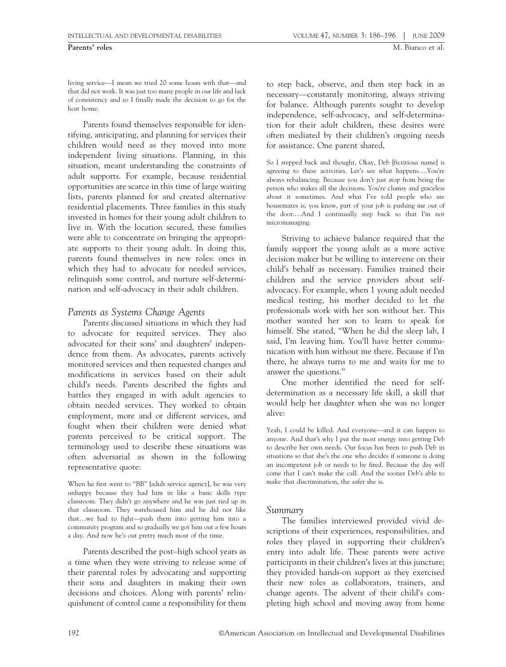living service—I mean we tried 20 some hours with that—and that did not work. It was just too many people in our life and lack of consistency and so I finally made the decision to go for the host home.

Parents found themselves responsible for identifying, anticipating, and planning for services their children would need as they moved into more independent living situations. Planning, in this situation, meant understanding the constraints of adult supports. For example, because residential opportunities are scarce in this time of large waiting lists, parents planned for and created alternative residential placements. Three families in this study invested in homes for their young adult children to live in. With the location secured, these families were able to concentrate on bringing the appropriate supports to their young adult. In doing this, parents found themselves in new roles: ones in which they had to advocate for needed services, relinquish some control, and nurture self-determination and self-advocacy in their adult children.

### Parents as Systems Change Agents

Parents discussed situations in which they had to advocate for required services. They also advocated for their sons' and daughters' independence from them. As advocates, parents actively monitored services and then requested changes and modifications in services based on their adult child's needs. Parents described the fights and battles they engaged in with adult agencies to obtain needed services. They worked to obtain employment, more and or different services, and fought when their children were denied what parents perceived to be critical support. The terminology used to describe these situations was often adversarial as shown in the following representative quote:

When he first went to ''BB'' [adult service agency], he was very unhappy because they had him in like a basic skills type classroom. They didn't go anywhere and he was just tied up in that classroom. They warehoused him and he did not like that…we had to fight—push them into getting him into a community program and so gradually we got him out a few hours a day. And now he's out pretty much most of the time.

Parents described the post–high school years as a time when they were striving to release some of their parental roles by advocating and supporting their sons and daughters in making their own decisions and choices. Along with parents' relinquishment of control came a responsibility for them to step back, observe, and then step back in as necessary—constantly monitoring, always striving for balance. Although parents sought to develop independence, self-advocacy, and self-determination for their adult children, these desires were often mediated by their children's ongoing needs for assistance. One parent shared,

So I stepped back and thought, Okay, Deb [fictitious name] is agreeing to these activities. Let's see what happens….You're always rebalancing. Because you don't just stop from being the person who makes all the decisions. You're clumsy and graceless about it sometimes. And what I've told people who are housemates is, you know, part of your job is pushing me out of the door.…And I continually step back so that I'm not micromanaging.

Striving to achieve balance required that the family support the young adult as a more active decision maker but be willing to intervene on their child's behalf as necessary. Families trained their children and the service providers about selfadvocacy. For example, when 1 young adult needed medical testing, his mother decided to let the professionals work with her son without her. This mother wanted her son to learn to speak for himself. She stated, ''When he did the sleep lab, I said, I'm leaving him. You'll have better communication with him without me there. Because if I'm there, he always turns to me and waits for me to answer the questions.''

One mother identified the need for selfdetermination as a necessary life skill, a skill that would help her daughter when she was no longer alive:

Yeah, I could be killed. And everyone—and it can happen to anyone. And that's why I put the most energy into getting Deb to describe her own needs. Our focus has been to push Deb in situations so that she's the one who decides if someone is doing an incompetent job or needs to be fired. Because the day will come that I can't make the call. And the sooner Deb's able to make that discrimination, the safer she is.

#### Summary

The families interviewed provided vivid descriptions of their experiences, responsibilities, and roles they played in supporting their children's entry into adult life. These parents were active participants in their children's lives at this juncture; they provided hands-on support as they exercised their new roles as collaborators, trainers, and change agents. The advent of their child's completing high school and moving away from home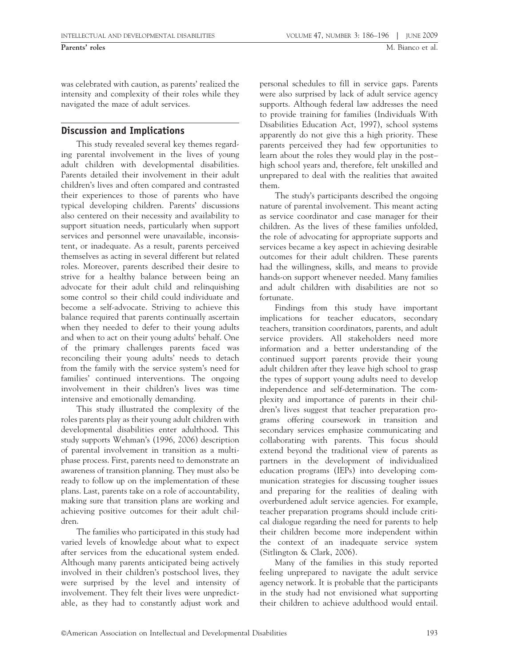Parents' roles M. Bianco et al.

was celebrated with caution, as parents' realized the intensity and complexity of their roles while they navigated the maze of adult services.

# Discussion and Implications

This study revealed several key themes regarding parental involvement in the lives of young adult children with developmental disabilities. Parents detailed their involvement in their adult children's lives and often compared and contrasted their experiences to those of parents who have typical developing children. Parents' discussions also centered on their necessity and availability to support situation needs, particularly when support services and personnel were unavailable, inconsistent, or inadequate. As a result, parents perceived themselves as acting in several different but related roles. Moreover, parents described their desire to strive for a healthy balance between being an advocate for their adult child and relinquishing some control so their child could individuate and become a self-advocate. Striving to achieve this balance required that parents continually ascertain when they needed to defer to their young adults and when to act on their young adults' behalf. One of the primary challenges parents faced was reconciling their young adults' needs to detach from the family with the service system's need for families' continued interventions. The ongoing involvement in their children's lives was time intensive and emotionally demanding.

This study illustrated the complexity of the roles parents play as their young adult children with developmental disabilities enter adulthood. This study supports Wehman's (1996, 2006) description of parental involvement in transition as a multiphase process. First, parents need to demonstrate an awareness of transition planning. They must also be ready to follow up on the implementation of these plans. Last, parents take on a role of accountability, making sure that transition plans are working and achieving positive outcomes for their adult children.

The families who participated in this study had varied levels of knowledge about what to expect after services from the educational system ended. Although many parents anticipated being actively involved in their children's postschool lives, they were surprised by the level and intensity of involvement. They felt their lives were unpredictable, as they had to constantly adjust work and

personal schedules to fill in service gaps. Parents were also surprised by lack of adult service agency supports. Although federal law addresses the need to provide training for families (Individuals With Disabilities Education Act, 1997), school systems apparently do not give this a high priority. These parents perceived they had few opportunities to learn about the roles they would play in the post– high school years and, therefore, felt unskilled and unprepared to deal with the realities that awaited them.

The study's participants described the ongoing nature of parental involvement. This meant acting as service coordinator and case manager for their children. As the lives of these families unfolded, the role of advocating for appropriate supports and services became a key aspect in achieving desirable outcomes for their adult children. These parents had the willingness, skills, and means to provide hands-on support whenever needed. Many families and adult children with disabilities are not so fortunate.

Findings from this study have important implications for teacher educators, secondary teachers, transition coordinators, parents, and adult service providers. All stakeholders need more information and a better understanding of the continued support parents provide their young adult children after they leave high school to grasp the types of support young adults need to develop independence and self-determination. The complexity and importance of parents in their children's lives suggest that teacher preparation programs offering coursework in transition and secondary services emphasize communicating and collaborating with parents. This focus should extend beyond the traditional view of parents as partners in the development of individualized education programs (IEPs) into developing communication strategies for discussing tougher issues and preparing for the realities of dealing with overburdened adult service agencies. For example, teacher preparation programs should include critical dialogue regarding the need for parents to help their children become more independent within the context of an inadequate service system (Sitlington & Clark, 2006).

Many of the families in this study reported feeling unprepared to navigate the adult service agency network. It is probable that the participants in the study had not envisioned what supporting their children to achieve adulthood would entail.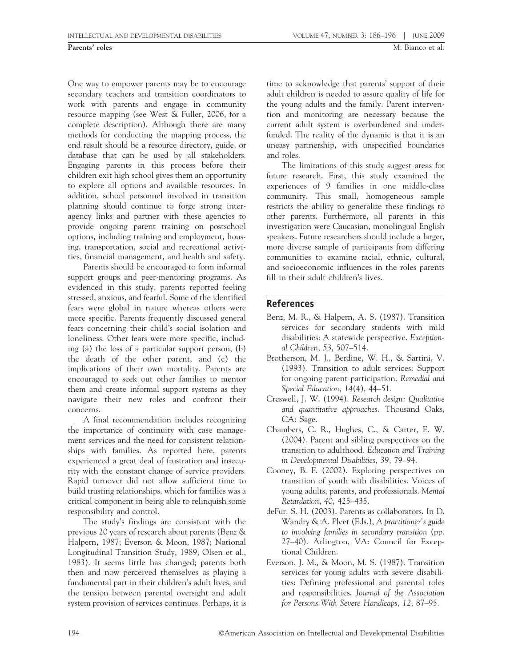One way to empower parents may be to encourage secondary teachers and transition coordinators to work with parents and engage in community resource mapping (see West & Fuller, 2006, for a complete description). Although there are many methods for conducting the mapping process, the end result should be a resource directory, guide, or database that can be used by all stakeholders. Engaging parents in this process before their children exit high school gives them an opportunity to explore all options and available resources. In addition, school personnel involved in transition planning should continue to forge strong interagency links and partner with these agencies to provide ongoing parent training on postschool options, including training and employment, housing, transportation, social and recreational activities, financial management, and health and safety.

Parents should be encouraged to form informal support groups and peer-mentoring programs. As evidenced in this study, parents reported feeling stressed, anxious, and fearful. Some of the identified fears were global in nature whereas others were more specific. Parents frequently discussed general fears concerning their child's social isolation and loneliness. Other fears were more specific, including (a) the loss of a particular support person, (b) the death of the other parent, and (c) the implications of their own mortality. Parents are encouraged to seek out other families to mentor them and create informal support systems as they navigate their new roles and confront their concerns.

A final recommendation includes recognizing the importance of continuity with case management services and the need for consistent relationships with families. As reported here, parents experienced a great deal of frustration and insecurity with the constant change of service providers. Rapid turnover did not allow sufficient time to build trusting relationships, which for families was a critical component in being able to relinquish some responsibility and control.

The study's findings are consistent with the previous 20 years of research about parents (Benz & Halpern, 1987; Everson & Moon, 1987; National Longitudinal Transition Study, 1989; Olsen et al., 1983). It seems little has changed; parents both then and now perceived themselves as playing a fundamental part in their children's adult lives, and the tension between parental oversight and adult system provision of services continues. Perhaps, it is time to acknowledge that parents' support of their adult children is needed to assure quality of life for the young adults and the family. Parent intervention and monitoring are necessary because the current adult system is overburdened and underfunded. The reality of the dynamic is that it is an uneasy partnership, with unspecified boundaries and roles.

The limitations of this study suggest areas for future research. First, this study examined the experiences of 9 families in one middle-class community. This small, homogeneous sample restricts the ability to generalize these findings to other parents. Furthermore, all parents in this investigation were Caucasian, monolingual English speakers. Future researchers should include a larger, more diverse sample of participants from differing communities to examine racial, ethnic, cultural, and socioeconomic influences in the roles parents fill in their adult children's lives.

### References

- Benz, M. R., & Halpern, A. S. (1987). Transition services for secondary students with mild disabilities: A statewide perspective. Exceptional Children, 53, 507–514.
- Brotherson, M. J., Berdine, W. H., & Sartini, V. (1993). Transition to adult services: Support for ongoing parent participation. Remedial and Special Education, 14(4), 44–51.
- Creswell, J. W. (1994). Research design: Qualitative and quantitative approaches. Thousand Oaks, CA: Sage.
- Chambers, C. R., Hughes, C., & Carter, E. W. (2004). Parent and sibling perspectives on the transition to adulthood. Education and Training in Developmental Disabilities, 39, 79–94.
- Cooney, B. F. (2002). Exploring perspectives on transition of youth with disabilities. Voices of young adults, parents, and professionals. Mental Retardation, 40, 425–435.
- deFur, S. H. (2003). Parents as collaborators. In D. Wandry & A. Pleet (Eds.), A practitioner's guide to involving families in secondary transition (pp. 27–40). Arlington, VA: Council for Exceptional Children.
- Everson, J. M., & Moon, M. S. (1987). Transition services for young adults with severe disabilities: Defining professional and parental roles and responsibilities. Journal of the Association for Persons With Severe Handicaps, 12, 87–95.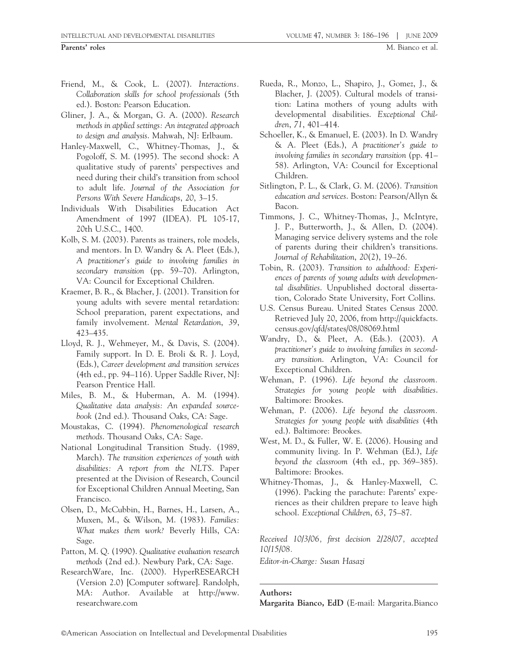- Parents' roles M. Bianco et al.
- Friend, M., & Cook, L. (2007). Interactions. Collaboration skills for school professionals (5th ed.). Boston: Pearson Education.
- Gliner, J. A., & Morgan, G. A. (2000). Research methods in applied settings: An integrated approach to design and analysis. Mahwah, NJ: Erlbaum.
- Hanley-Maxwell, C., Whitney-Thomas, J., & Pogoloff, S. M. (1995). The second shock: A qualitative study of parents' perspectives and need during their child's transition from school to adult life. Journal of the Association for Persons With Severe Handicaps, 20, 3–15.
- Individuals With Disabilities Education Act Amendment of 1997 (IDEA). PL 105-17, 20th U.S.C., 1400.
- Kolb, S. M. (2003). Parents as trainers, role models, and mentors. In D. Wandry & A. Pleet (Eds.), A practitioner's guide to involving families in secondary transition (pp. 59–70). Arlington, VA: Council for Exceptional Children.
- Kraemer, B. R., & Blacher, J. (2001). Transition for young adults with severe mental retardation: School preparation, parent expectations, and family involvement. Mental Retardation, 39, 423–435.
- Lloyd, R. J., Wehmeyer, M., & Davis, S. (2004). Family support. In D. E. Broli & R. J. Loyd, (Eds.), Career development and transition services (4th ed., pp. 94–116). Upper Saddle River, NJ: Pearson Prentice Hall.
- Miles, B. M., & Huberman, A. M. (1994). Qualitative data analysis: An expanded sourcebook (2nd ed.). Thousand Oaks, CA: Sage.
- Moustakas, C. (1994). Phenomenological research methods. Thousand Oaks, CA: Sage.
- National Longitudinal Transition Study. (1989, March). The transition experiences of youth with disabilities: A report from the NLTS. Paper presented at the Division of Research, Council for Exceptional Children Annual Meeting, San Francisco.
- Olsen, D., McCubbin, H., Barnes, H., Larsen, A., Muxen, M., & Wilson, M. (1983). Families: What makes them work? Beverly Hills, CA: Sage.
- Patton, M. Q. (1990). Qualitative evaluation research methods (2nd ed.). Newbury Park, CA: Sage.
- ResearchWare, Inc. (2000). HyperRESEARCH (Version 2.0) [Computer software]. Randolph, MA: Author. Available at http://www. researchware.com
- Rueda, R., Monzo, L., Shapiro, J., Gomez, J., & Blacher, J. (2005). Cultural models of transition: Latina mothers of young adults with developmental disabilities. Exceptional Children, 71, 401–414.
- Schoeller, K., & Emanuel, E. (2003). In D. Wandry & A. Pleet (Eds.), A practitioner's guide to involving families in secondary transition (pp. 41– 58). Arlington, VA: Council for Exceptional Children.
- Sitlington, P. L., & Clark, G. M. (2006). Transition education and services. Boston: Pearson/Allyn & Bacon.
- Timmons, J. C., Whitney-Thomas, J., McIntyre, J. P., Butterworth, J., & Allen, D. (2004). Managing service delivery systems and the role of parents during their children's transitions. Journal of Rehabilitation, 20(2), 19–26.
- Tobin, R. (2003). Transition to adulthood: Experiences of parents of young adults with developmental disabilities. Unpublished doctoral dissertation, Colorado State University, Fort Collins.
- U.S. Census Bureau. United States Census 2000. Retrieved July 20, 2006, from http://quickfacts. census.gov/qfd/states/08/08069.html
- Wandry, D., & Pleet, A. (Eds.). (2003). A practitioner's guide to involving families in secondary transition. Arlington, VA: Council for Exceptional Children.
- Wehman, P. (1996). Life beyond the classroom. Strategies for young people with disabilities. Baltimore: Brookes.
- Wehman, P. (2006). Life beyond the classroom. Strategies for young people with disabilities (4th ed.). Baltimore: Brookes.
- West, M. D., & Fuller, W. E. (2006). Housing and community living. In P. Wehman (Ed.), Life beyond the classroom (4th ed., pp. 369–385). Baltimore: Brookes.
- Whitney-Thomas, J., & Hanley-Maxwell, C. (1996). Packing the parachute: Parents' experiences as their children prepare to leave high school. Exceptional Children, 63, 75–87.

Received 10/3/06, first decision 2/28/07, accepted 10/15/08.

Editor-in-Charge: Susan Hasazi

#### Authors:

Margarita Bianco, EdD (E-mail: Margarita.Bianco